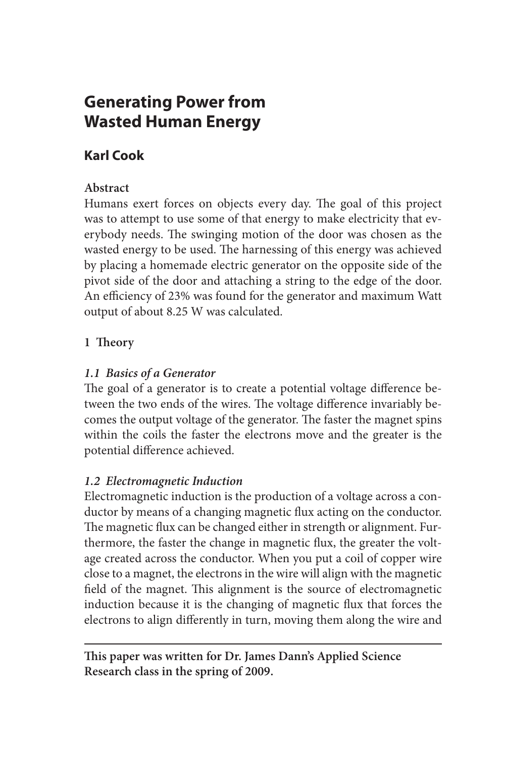# **Generating Power from Wasted Human Energy**

# **Karl Cook**

## **Abstract**

Humans exert forces on objects every day. The goal of this project was to attempt to use some of that energy to make electricity that everybody needs. The swinging motion of the door was chosen as the wasted energy to be used. The harnessing of this energy was achieved by placing a homemade electric generator on the opposite side of the pivot side of the door and attaching a string to the edge of the door. An efficiency of 23% was found for the generator and maximum Watt output of about 8.25 W was calculated.

## **1 Theory**

## *1.1 Basics of a Generator*

The goal of a generator is to create a potential voltage difference between the two ends of the wires. The voltage difference invariably becomes the output voltage of the generator. The faster the magnet spins within the coils the faster the electrons move and the greater is the potential difference achieved.

## *1.2 Electromagnetic Induction*

Electromagnetic induction is the production of a voltage across a conductor by means of a changing magnetic flux acting on the conductor. The magnetic flux can be changed either in strength or alignment. Furthermore, the faster the change in magnetic flux, the greater the voltage created across the conductor. When you put a coil of copper wire close to a magnet, the electrons in the wire will align with the magnetic field of the magnet. This alignment is the source of electromagnetic induction because it is the changing of magnetic flux that forces the electrons to align differently in turn, moving them along the wire and

**This paper was written for Dr. James Dann's Applied Science Research class in the spring of 2009.**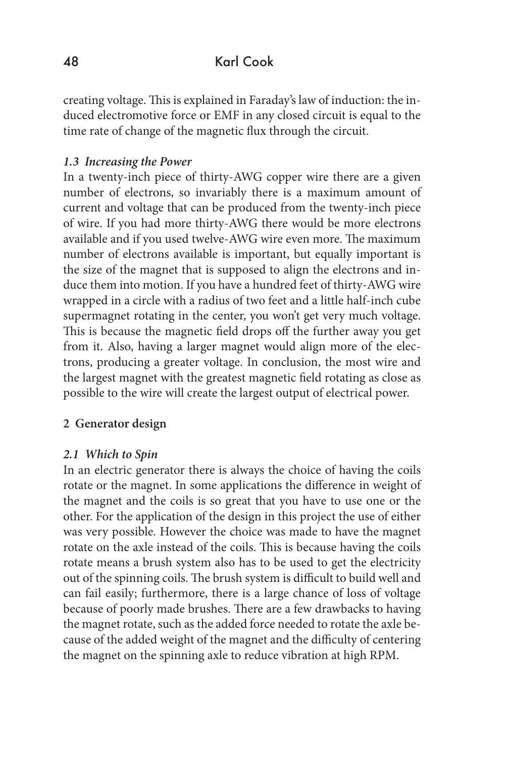## 48 Karl Cook

creating voltage. This is explained in Faraday's law of induction: the induced electromotive force or EMF in any closed circuit is equal to the time rate of change of the magnetic flux through the circuit.

#### *1.3 Increasing the Power*

In a twenty-inch piece of thirty-AWG copper wire there are a given number of electrons, so invariably there is a maximum amount of current and voltage that can be produced from the twenty-inch piece of wire. If you had more thirty-AWG there would be more electrons available and if you used twelve-AWG wire even more. The maximum number of electrons available is important, but equally important is the size of the magnet that is supposed to align the electrons and induce them into motion. If you have a hundred feet of thirty-AWG wire wrapped in a circle with a radius of two feet and a little half-inch cube supermagnet rotating in the center, you won't get very much voltage. This is because the magnetic field drops off the further away you get from it. Also, having a larger magnet would align more of the electrons, producing a greater voltage. In conclusion, the most wire and the largest magnet with the greatest magnetic field rotating as close as possible to the wire will create the largest output of electrical power.

#### **2 Generator design**

#### *2.1 Which to Spin*

In an electric generator there is always the choice of having the coils rotate or the magnet. In some applications the difference in weight of the magnet and the coils is so great that you have to use one or the other. For the application of the design in this project the use of either was very possible. However the choice was made to have the magnet rotate on the axle instead of the coils. This is because having the coils rotate means a brush system also has to be used to get the electricity out of the spinning coils. The brush system is difficult to build well and can fail easily; furthermore, there is a large chance of loss of voltage because of poorly made brushes. There are a few drawbacks to having the magnet rotate, such as the added force needed to rotate the axle because of the added weight of the magnet and the difficulty of centering the magnet on the spinning axle to reduce vibration at high RPM.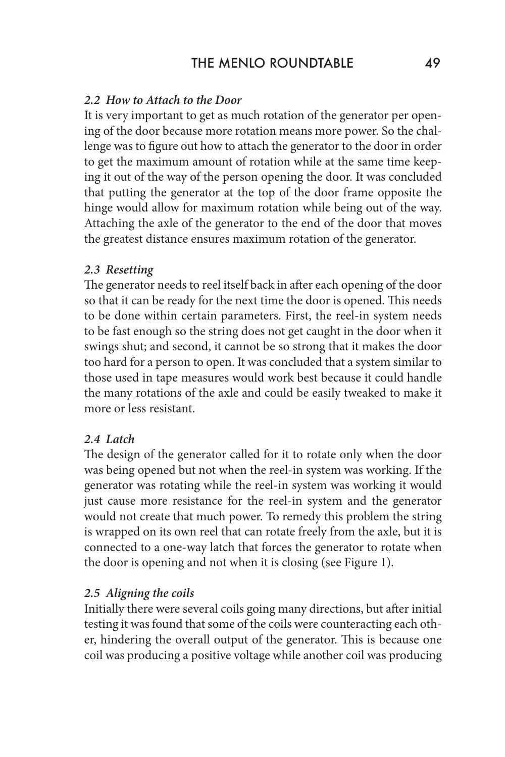#### *2.2 How to Attach to the Door*

It is very important to get as much rotation of the generator per opening of the door because more rotation means more power. So the challenge was to figure out how to attach the generator to the door in order to get the maximum amount of rotation while at the same time keeping it out of the way of the person opening the door. It was concluded that putting the generator at the top of the door frame opposite the hinge would allow for maximum rotation while being out of the way. Attaching the axle of the generator to the end of the door that moves the greatest distance ensures maximum rotation of the generator.

#### *2.3 Resetting*

The generator needs to reel itself back in after each opening of the door so that it can be ready for the next time the door is opened. This needs to be done within certain parameters. First, the reel-in system needs to be fast enough so the string does not get caught in the door when it swings shut; and second, it cannot be so strong that it makes the door too hard for a person to open. It was concluded that a system similar to those used in tape measures would work best because it could handle the many rotations of the axle and could be easily tweaked to make it more or less resistant.

#### *2.4 Latch*

The design of the generator called for it to rotate only when the door was being opened but not when the reel-in system was working. If the generator was rotating while the reel-in system was working it would just cause more resistance for the reel-in system and the generator would not create that much power. To remedy this problem the string is wrapped on its own reel that can rotate freely from the axle, but it is connected to a one-way latch that forces the generator to rotate when the door is opening and not when it is closing (see Figure 1).

#### *2.5 Aligning the coils*

Initially there were several coils going many directions, but after initial testing it was found that some of the coils were counteracting each other, hindering the overall output of the generator. This is because one coil was producing a positive voltage while another coil was producing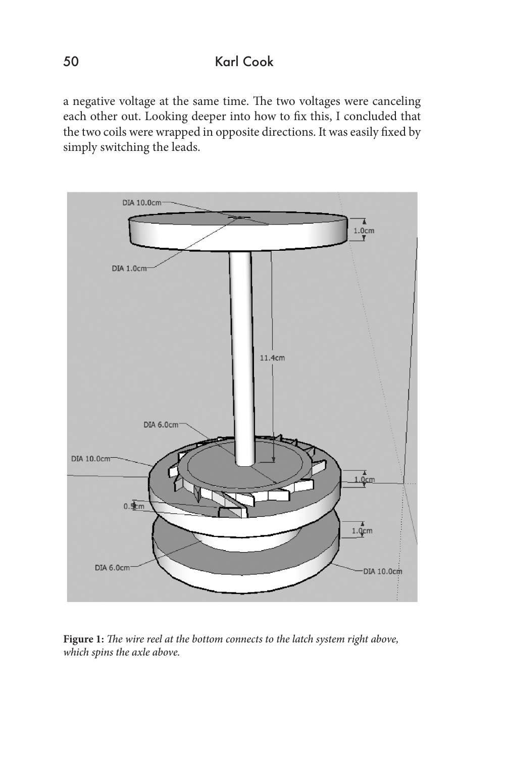a negative voltage at the same time. The two voltages were canceling each other out. Looking deeper into how to fix this, I concluded that the two coils were wrapped in opposite directions. It was easily fixed by simply switching the leads.



**Figure 1:** *The wire reel at the bottom connects to the latch system right above, which spins the axle above.*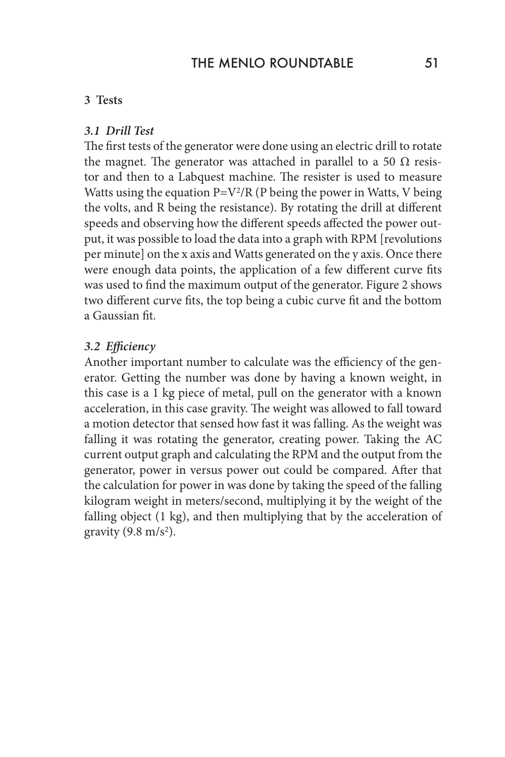#### **3 Tests**

#### *3.1 Drill Test*

The first tests of the generator were done using an electric drill to rotate the magnet. The generator was attached in parallel to a 50  $\Omega$  resistor and then to a Labquest machine. The resister is used to measure Watts using the equation  $P=V^2/R$  (P being the power in Watts, V being the volts, and R being the resistance). By rotating the drill at different speeds and observing how the different speeds affected the power output, it was possible to load the data into a graph with RPM [revolutions per minute] on the x axis and Watts generated on the y axis. Once there were enough data points, the application of a few different curve fits was used to find the maximum output of the generator. Figure 2 shows two different curve fits, the top being a cubic curve fit and the bottom a Gaussian fit.

#### *3.2 Efficiency*

Another important number to calculate was the efficiency of the generator. Getting the number was done by having a known weight, in this case is a 1 kg piece of metal, pull on the generator with a known acceleration, in this case gravity. The weight was allowed to fall toward a motion detector that sensed how fast it was falling. As the weight was falling it was rotating the generator, creating power. Taking the AC current output graph and calculating the RPM and the output from the generator, power in versus power out could be compared. After that the calculation for power in was done by taking the speed of the falling kilogram weight in meters/second, multiplying it by the weight of the falling object (1 kg), and then multiplying that by the acceleration of gravity  $(9.8 \text{ m/s}^2)$ .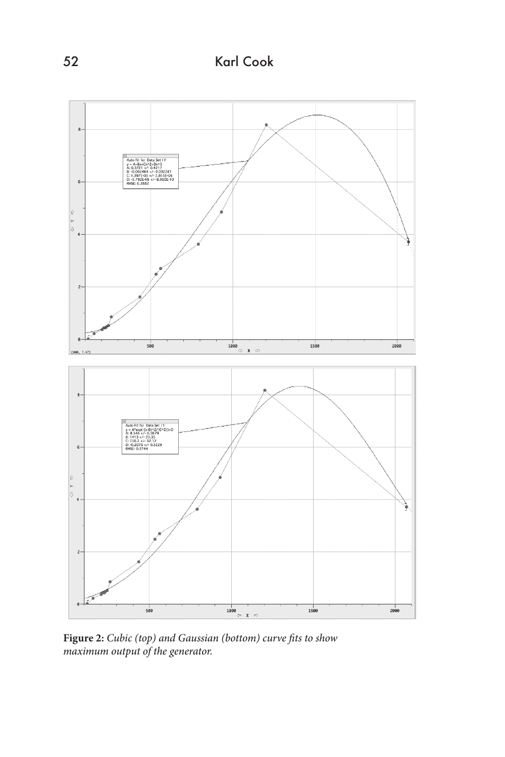52 Karl Cook



**Figure 2:** *Cubic (top) and Gaussian (bottom) curve fits to show maximum output of the generator.*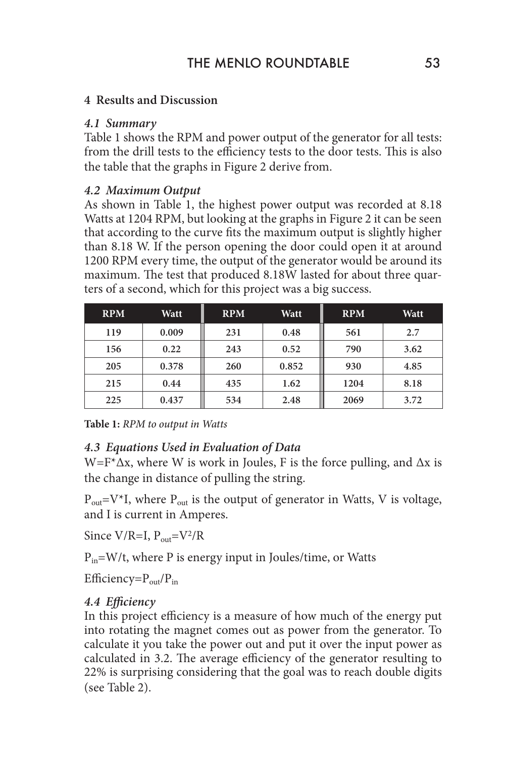#### **4 Results and Discussion**

#### *4.1 Summary*

Table 1 shows the RPM and power output of the generator for all tests: from the drill tests to the efficiency tests to the door tests. This is also the table that the graphs in Figure 2 derive from.

#### *4.2 Maximum Output*

As shown in Table 1, the highest power output was recorded at 8.18 Watts at 1204 RPM, but looking at the graphs in Figure 2 it can be seen that according to the curve fits the maximum output is slightly higher than 8.18 W. If the person opening the door could open it at around 1200 RPM every time, the output of the generator would be around its maximum. The test that produced 8.18W lasted for about three quarters of a second, which for this project was a big success.

| <b>RPM</b> | Watt  | <b>RPM</b> | Watt  | <b>RPM</b> | Watt |
|------------|-------|------------|-------|------------|------|
| 119        | 0.009 | 231        | 0.48  | 561        | 2.7  |
| 156        | 0.22  | 243        | 0.52  | 790        | 3.62 |
| 205        | 0.378 | 260        | 0.852 | 930        | 4.85 |
| 215        | 0.44  | 435        | 1.62  | 1204       | 8.18 |
| 225        | 0.437 | 534        | 2.48  | 2069       | 3.72 |

**Table 1:** *RPM to output in Watts*

### *4.3 Equations Used in Evaluation of Data*

 $W = F^* \Delta x$ , where W is work in Joules, F is the force pulling, and  $\Delta x$  is the change in distance of pulling the string.

 $P_{out}=V^{\ast}I$ , where  $P_{out}$  is the output of generator in Watts, V is voltage, and I is current in Amperes.

Since  $V/R=I$ ,  $P_{out}=V^2/R$ 

 $P_{in} = W/t$ , where P is energy input in Joules/time, or Watts

Efficiency= $P_{out}/P_{in}$ 

### *4.4 Efficiency*

In this project efficiency is a measure of how much of the energy put into rotating the magnet comes out as power from the generator. To calculate it you take the power out and put it over the input power as calculated in 3.2. The average efficiency of the generator resulting to 22% is surprising considering that the goal was to reach double digits (see Table 2).